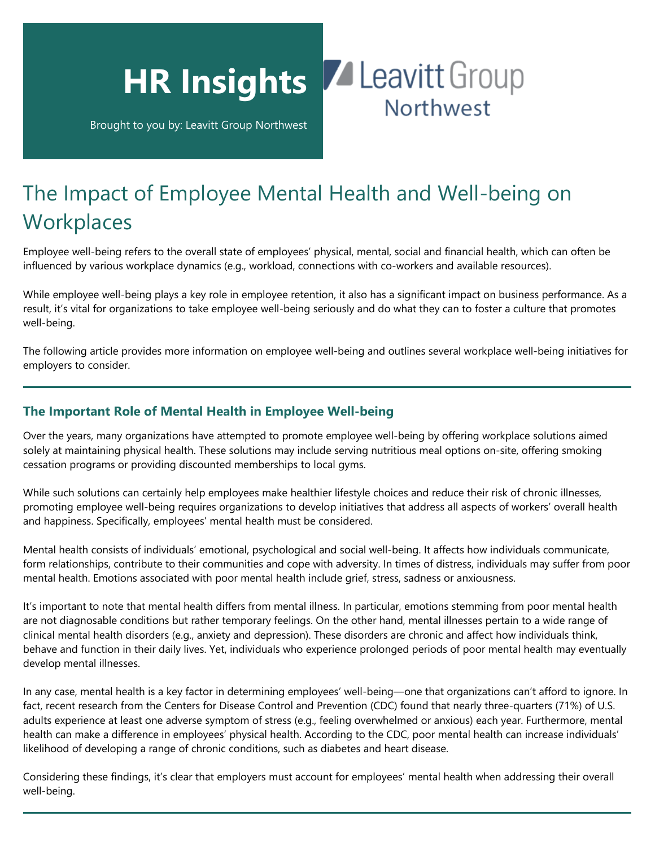

Brought to you by: Leavitt Group Northwest

## The Impact of Employee Mental Health and Well-being on **Workplaces**

Employee well-being refers to the overall state of employees' physical, mental, social and financial health, which can often be influenced by various workplace dynamics (e.g., workload, connections with co-workers and available resources).

While employee well-being plays a key role in employee retention, it also has a significant impact on business performance. As a result, it's vital for organizations to take employee well-being seriously and do what they can to foster a culture that promotes well-being.

The following article provides more information on employee well-being and outlines several workplace well-being initiatives for employers to consider.

## **The Important Role of Mental Health in Employee Well-being**

Over the years, many organizations have attempted to promote employee well-being by offering workplace solutions aimed solely at maintaining physical health. These solutions may include serving nutritious meal options on-site, offering smoking cessation programs or providing discounted memberships to local gyms.

While such solutions can certainly help employees make healthier lifestyle choices and reduce their risk of chronic illnesses, promoting employee well-being requires organizations to develop initiatives that address all aspects of workers' overall health and happiness. Specifically, employees' mental health must be considered.

Mental health consists of individuals' emotional, psychological and social well-being. It affects how individuals communicate, form relationships, contribute to their communities and cope with adversity. In times of distress, individuals may suffer from poor mental health. Emotions associated with poor mental health include grief, stress, sadness or anxiousness.

It's important to note that mental health differs from mental illness. In particular, emotions stemming from poor mental health are not diagnosable conditions but rather temporary feelings. On the other hand, mental illnesses pertain to a wide range of clinical mental health disorders (e.g., anxiety and depression). These disorders are chronic and affect how individuals think, behave and function in their daily lives. Yet, individuals who experience prolonged periods of poor mental health may eventually develop mental illnesses.

In any case, mental health is a key factor in determining employees' well-being—one that organizations can't afford to ignore. In fact, recent research from the Centers for Disease Control and Prevention (CDC) found that nearly three-quarters (71%) of U.S. adults experience at least one adverse symptom of stress (e.g., feeling overwhelmed or anxious) each year. Furthermore, mental health can make a difference in employees' physical health. According to the CDC, poor mental health can increase individuals' likelihood of developing a range of chronic conditions, such as diabetes and heart disease.

Considering these findings, it's clear that employers must account for employees' mental health when addressing their overall well-being.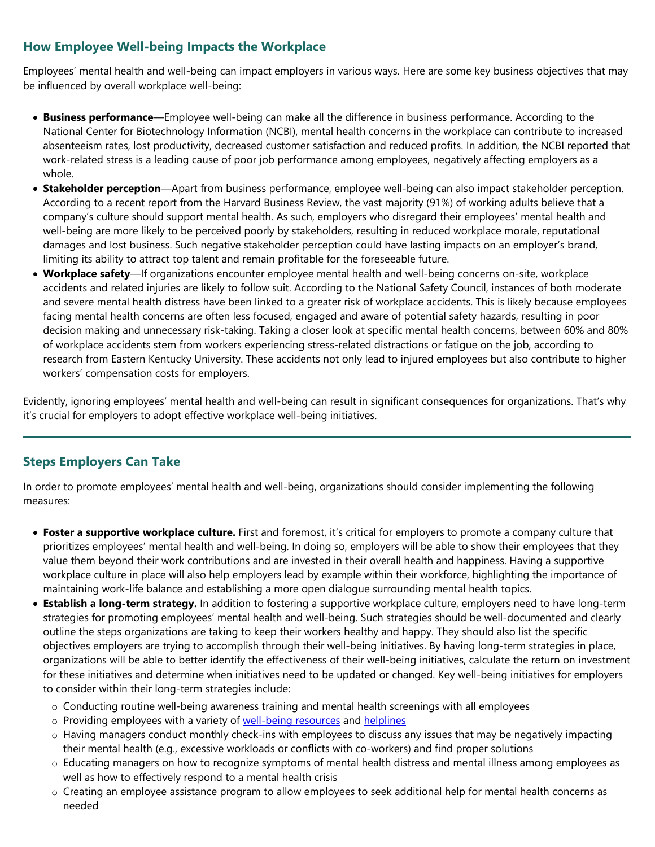## **How Employee Well-being Impacts the Workplace**

Employees' mental health and well-being can impact employers in various ways. Here are some key business objectives that may be influenced by overall workplace well-being:

- **Business performance**—Employee well-being can make all the difference in business performance. According to the National Center for Biotechnology Information (NCBI), mental health concerns in the workplace can contribute to increased absenteeism rates, lost productivity, decreased customer satisfaction and reduced profits. In addition, the NCBI reported that work-related stress is a leading cause of poor job performance among employees, negatively affecting employers as a whole.
- **Stakeholder perception**—Apart from business performance, employee well-being can also impact stakeholder perception. According to a recent report from the Harvard Business Review, the vast majority (91%) of working adults believe that a company's culture should support mental health. As such, employers who disregard their employees' mental health and well-being are more likely to be perceived poorly by stakeholders, resulting in reduced workplace morale, reputational damages and lost business. Such negative stakeholder perception could have lasting impacts on an employer's brand, limiting its ability to attract top talent and remain profitable for the foreseeable future.
- **Workplace safety**—If organizations encounter employee mental health and well-being concerns on-site, workplace accidents and related injuries are likely to follow suit. According to the National Safety Council, instances of both moderate and severe mental health distress have been linked to a greater risk of workplace accidents. This is likely because employees facing mental health concerns are often less focused, engaged and aware of potential safety hazards, resulting in poor decision making and unnecessary risk-taking. Taking a closer look at specific mental health concerns, between 60% and 80% of workplace accidents stem from workers experiencing stress-related distractions or fatigue on the job, according to research from Eastern Kentucky University. These accidents not only lead to injured employees but also contribute to higher workers' compensation costs for employers.

Evidently, ignoring employees' mental health and well-being can result in significant consequences for organizations. That's why it's crucial for employers to adopt effective workplace well-being initiatives.

## **Steps Employers Can Take**

In order to promote employees' mental health and well-being, organizations should consider implementing the following measures:

- **Foster a supportive workplace culture.** First and foremost, it's critical for employers to promote a company culture that prioritizes employees' mental health and well-being. In doing so, employers will be able to show their employees that they value them beyond their work contributions and are invested in their overall health and happiness. Having a supportive workplace culture in place will also help employers lead by example within their workforce, highlighting the importance of maintaining work-life balance and establishing a more open dialogue surrounding mental health topics.
- **Establish a long-term strategy.** In addition to fostering a supportive workplace culture, employers need to have long-term strategies for promoting employees' mental health and well-being. Such strategies should be well-documented and clearly outline the steps organizations are taking to keep their workers healthy and happy. They should also list the specific objectives employers are trying to accomplish through their well-being initiatives. By having long-term strategies in place, organizations will be able to better identify the effectiveness of their well-being initiatives, calculate the return on investment for these initiatives and determine when initiatives need to be updated or changed. Key well-being initiatives for employers to consider within their long-term strategies include:
	- o Conducting routine well-being awareness training and mental health screenings with all employees
	- o Providing employees with a variety of [well-being resources](https://www.cdc.gov/mentalhealth/tools-resources/index.htm) and [helplines](https://www.nami.org/help)
	- o Having managers conduct monthly check-ins with employees to discuss any issues that may be negatively impacting their mental health (e.g., excessive workloads or conflicts with co-workers) and find proper solutions
	- o Educating managers on how to recognize symptoms of mental health distress and mental illness among employees as well as how to effectively respond to a mental health crisis
	- o Creating an employee assistance program to allow employees to seek additional help for mental health concerns as needed